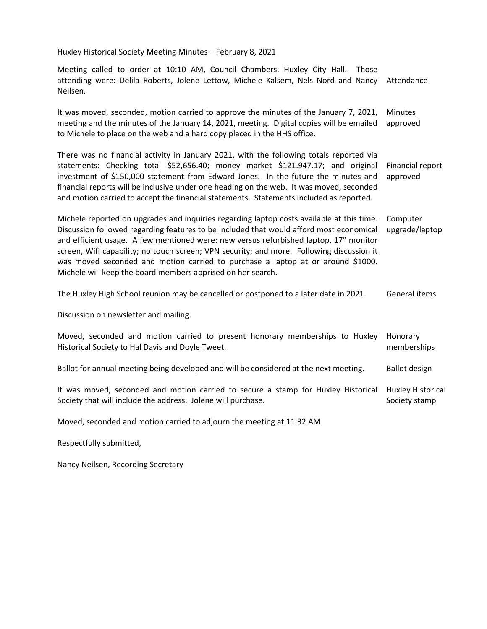Huxley Historical Society Meeting Minutes – February 8, 2021

Meeting called to order at 10:10 AM, Council Chambers, Huxley City Hall. Those attending were: Delila Roberts, Jolene Lettow, Michele Kalsem, Nels Nord and Nancy Attendance Neilsen.

It was moved, seconded, motion carried to approve the minutes of the January 7, 2021, meeting and the minutes of the January 14, 2021, meeting. Digital copies will be emailed to Michele to place on the web and a hard copy placed in the HHS office. **Minutes** approved

There was no financial activity in January 2021, with the following totals reported via statements: Checking total \$52,656.40; money market \$121.947.17; and original investment of \$150,000 statement from Edward Jones. In the future the minutes and financial reports will be inclusive under one heading on the web. It was moved, seconded and motion carried to accept the financial statements. Statements included as reported. Financial report approved

Michele reported on upgrades and inquiries regarding laptop costs available at this time. Discussion followed regarding features to be included that would afford most economical and efficient usage. A few mentioned were: new versus refurbished laptop, 17" monitor screen, Wifi capability; no touch screen; VPN security; and more. Following discussion it was moved seconded and motion carried to purchase a laptop at or around \$1000. Michele will keep the board members apprised on her search. Computer upgrade/laptop

The Huxley High School reunion may be cancelled or postponed to a later date in 2021. General items

Discussion on newsletter and mailing.

| Moved, seconded and motion carried to present honorary memberships to Huxley<br>Historical Society to Hal Davis and Doyle Tweet. | Honorary<br>memberships |
|----------------------------------------------------------------------------------------------------------------------------------|-------------------------|
| Ballot for annual meeting being developed and will be considered at the next meeting.                                            | Ballot design           |
| It was moved, seconded and motion carried to secure a stamp for Huxley Historical Huxley Historical                              |                         |

Society stamp

Moved, seconded and motion carried to adjourn the meeting at 11:32 AM

Society that will include the address. Jolene will purchase.

Respectfully submitted,

Nancy Neilsen, Recording Secretary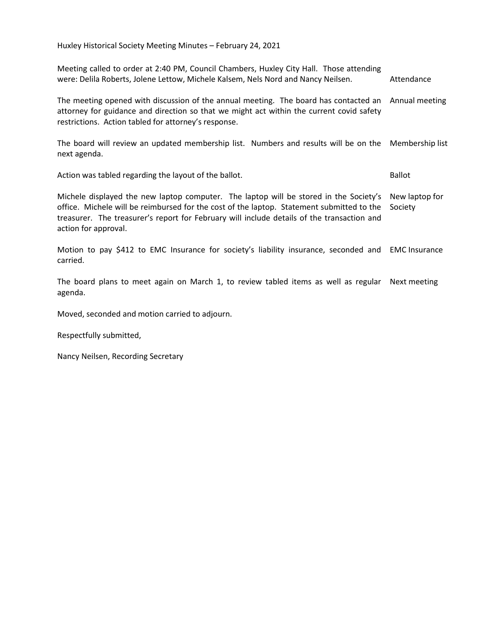| Meeting called to order at 2:40 PM, Council Chambers, Huxley City Hall. Those attending<br>were: Delila Roberts, Jolene Lettow, Michele Kalsem, Nels Nord and Nancy Neilsen.                                                                                                                             | Attendance                |
|----------------------------------------------------------------------------------------------------------------------------------------------------------------------------------------------------------------------------------------------------------------------------------------------------------|---------------------------|
| The meeting opened with discussion of the annual meeting. The board has contacted an Annual meeting<br>attorney for guidance and direction so that we might act within the current covid safety<br>restrictions. Action tabled for attorney's response.                                                  |                           |
| The board will review an updated membership list. Numbers and results will be on the Membership list<br>next agenda.                                                                                                                                                                                     |                           |
| Action was tabled regarding the layout of the ballot.                                                                                                                                                                                                                                                    | <b>Ballot</b>             |
| Michele displayed the new laptop computer. The laptop will be stored in the Society's<br>office. Michele will be reimbursed for the cost of the laptop. Statement submitted to the<br>treasurer. The treasurer's report for February will include details of the transaction and<br>action for approval. | New laptop for<br>Society |
| Motion to pay \$412 to EMC Insurance for society's liability insurance, seconded and EMC Insurance<br>carried.                                                                                                                                                                                           |                           |
| The board plans to meet again on March 1, to review tabled items as well as regular Next meeting<br>agenda.                                                                                                                                                                                              |                           |

Moved, seconded and motion carried to adjourn.

Respectfully submitted,

Nancy Neilsen, Recording Secretary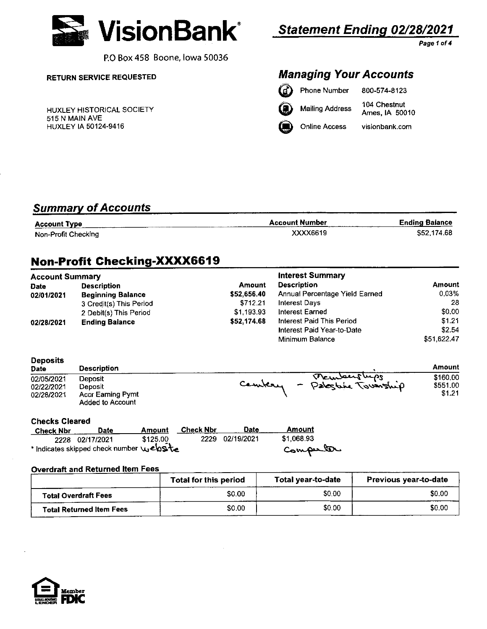

P.O Box 458 Boone, lowa 50036

### **RETURN SERVICE REQUESTED**

HUXLEY HISTORICAL SOCIETY 515 N MAIN AVE HUXLEY IA 50124-9416

# **Statement Ending 02/28/2021**

Page 1 of <mark>4</mark>

## **Managing Your Accounts**

| <b>B</b> Phone Number | 800-574-8123                   |
|-----------------------|--------------------------------|
| Mailing Address       | 104 Chestnut<br>Ames, IA 50010 |

**Online Access** visionbank.com

## **Summary of Accounts**

| <b>Account Type</b> | <b>Account Number</b> | <b>Ending Balance</b> |
|---------------------|-----------------------|-----------------------|
| Non-Profit Checking | XXXX6619              | \$52 174 68           |

# Non-Profit Checking-XXXX6619

| <b>Account Summary</b> |                          |             | <b>Interest Summary</b>        |               |
|------------------------|--------------------------|-------------|--------------------------------|---------------|
| <b>Date</b>            | <b>Description</b>       | Amount      | <b>Description</b>             | <b>Amount</b> |
| 02/01/2021             | <b>Beginning Balance</b> | \$52,656.40 | Annual Percentage Yield Earned | $0.03\%$      |
|                        | 3 Credit(s) This Period  | \$712.21    | <b>Interest Days</b>           | -28           |
|                        | 2 Debit(s) This Period   | \$1,193.93  | <b>Interest Earned</b>         | \$0.00        |
| 02/28/2021             | <b>Ending Balance</b>    | \$52,174.68 | Interest Paid This Period      | \$1.21        |
|                        |                          |             | Interest Paid Year-to-Date     | \$2.54        |
|                        |                          |             | Minimum Balance                | \$51.622.47   |

### **Deposits**

| Date       | <b>Description</b>       |                                    | Amount   |
|------------|--------------------------|------------------------------------|----------|
| 02/05/2021 | Deposit                  | Temberships                        | \$160.00 |
| 02/22/2021 | Deposit                  | Cambery<br>Palestine Township<br>- | \$551.00 |
| 02/28/2021 | <b>Accr Earning Pymt</b> |                                    | \$1.21   |
|            | <b>Added to Account</b>  |                                    |          |

#### **Checks Cleared**

| <b>Check Nbr</b> | Date                                       | Amount   | Check Nbr | <b>Date</b>     | <b>Amount</b> |  |
|------------------|--------------------------------------------|----------|-----------|-----------------|---------------|--|
|                  | 2228 02/17/2021                            | \$125.00 |           | 2229 02/19/2021 | \$1.068.93    |  |
|                  | * Indicates skipped check number vuelosite |          |           |                 | Computer      |  |

#### **Overdraft and Returned Item Fees**

|                                 | <b>Total for this period</b> | Total year-to-date | <b>Previous year-to-date</b> |
|---------------------------------|------------------------------|--------------------|------------------------------|
| <b>Total Overdraft Fees</b>     | \$0.00                       | \$0.00             | \$0.00                       |
| <b>Total Returned Item Fees</b> | \$0.00                       | \$0.00             | \$0.00                       |